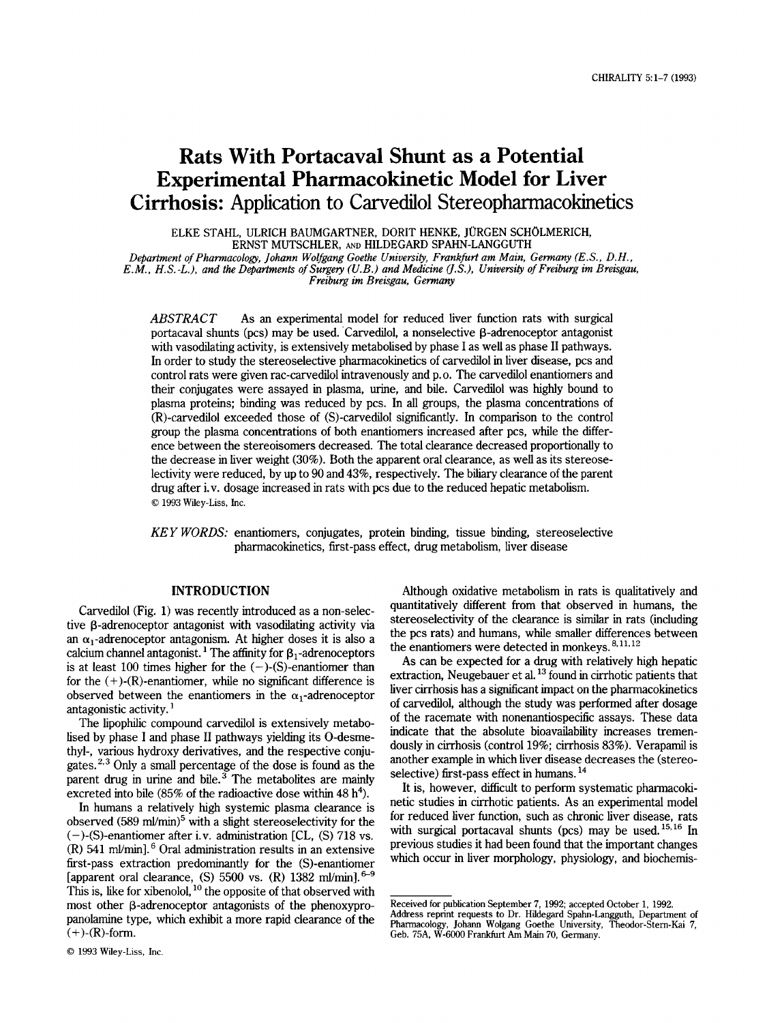# **Rats With Portacaval Shunt as a Potential Experimental Pharmacokinetic Model for Liver Cirrhosis:** Application to Carvedilol Stereopharmacokinetics

ELKE STAHL, ULRICH BAUMGARTNER, DORIT HENKE, JURGEN SCHOLMERICH, ERNST MUTSCHLER, AND HILDEGARD SPAHN-LANGGUTH

*Department of Pharmacologq! Iohann Wolfgang Goethe University, Frankfurt am Main, Gemany (E.S., D.H., E.M., H.S.-L.), and the Departments of Surge?y (U.B.) and Medicine US.), University of Freiburg im Breisgau, Freiburg im Breisgau, Germany* 

*ABSTRACT As* an experimental model for reduced liver function rats with surgical portacaval shunts (pcs) may be used. Carvedilol, a nonselective  $\beta$ -adrenoceptor antagonist with vasodilating activity, is extensively metabolised by phase I as well as phase **I1** pathways. In order to study the stereoselective pharmacokinetics of carvedilol in liver disease, pcs and control rats were given rac-carvedilol intravenously and p. *0.* The carvedilol enantiomers and their conjugates were assayed in plasma, urine, and bile. Carvedilol was highly bound to plasma proteins; binding was reduced by pcs. In **all** groups, the plasma concentrations of (R)-carvedilol exceeded those of (S)-carvedilol significantly. In comparison to the control group the plasma concentrations of both enantiomers increased after pcs, while the difference between the stereoisomers decreased. The total clearance decreased proportionally to the decrease in liver weight **(30%).** Both the apparent oral clearance, as well as its stereoselectivity were reduced, by up to 90 and **43%,** respectively. The biliary clearance of the parent drug after i.v. dosage increased in rats with pcs due to the reduced hepatic metabolism. *0* 1993 Wiley-Liss, Inc.

*KEY WORDS:* enantiomers, conjugates, protein binding, tissue binding, stereoselective pharmacokinetics, first-pass effect, drug metabolism, liver disease

# **INTRODUCTION**

Carvedilol (Fig. 1) was recently introduced as a non-selective  $\beta$ -adrenoceptor antagonist with vasodilating activity via an  $\alpha_1$ -adrenoceptor antagonism. At higher doses it is also a calcium channel antagonist.<sup>1</sup> The affinity for  $\beta_1$ -adrenoceptors is at least 100 times higher for the  $(-)$ -(S)-enantiomer than for the  $(+)$ - $(R)$ -enantiomer, while no significant difference is observed between the enantiomers in the  $\alpha_1$ -adrenoceptor antagonistic activity.

The lipophilic compound carvedilol is extensively metabolised by phase I and phase I1 pathways yielding its O-desmethyl-, various hydroxy derivatives, and the respective conjugates. $2.3$  Only a small percentage of the dose is found as the parent drug in urine and bile. $3$  The metabolites are mainly excreted into bile (85% of the radioactive dose within 48 h<sup>4</sup>).

In humans a relatively high systemic plasma clearance is observed  $(589 \text{ ml/min})^5$  with a slight stereoselectivity for the  $(-)$ -(S)-enantiomer after i.v. administration [CL, (S) 718 vs.  $(R)$  541 ml/min].<sup>6</sup> Oral administration results in an extensive first-pass extraction predominantly for the (S)-enantiomer [apparent oral clearance, (S)  $5500$  vs. (R)  $1382$  ml/minl.<sup>6-9</sup> This is, like for xibenolol,  $^{10}$  the opposite of that observed with most other  $\beta$ -adrenoceptor antagonists of the phenoxypropanolamine type, which exhibit a more rapid clearance of the  $(+)$ - $(R)$ -form.

Although oxidative metabolism in rats is qualitatively and quantitatively different from that observed in humans, the stereoselectivity of the clearance is similar in rats (including the pcs rats) and humans, while smaller differences between the enantiomers were detected in monkeys.<sup>8,11,12</sup>

As can be expected for a drug with relatively high hepatic extraction, Neugebauer et al. **l3** found in cirrhotic patients that liver cirrhosis has a sigruficant impact on the pharmacokinetics of carvedilol, although the study was performed after dosage of the racemate with nonenantiospecific assays. These data indicate that the absolute bioavailability increases tremendously in cirrhosis (control 19%; cirrhosis **83%).** Verapamil is another example in which liver disease decreases the (stereoselective) first-pass effect in humans. **l4** 

It is, however, difficult to perform systematic pharmacokinetic studies in cirrhotic patients. As an experimental model for reduced liver function, such as chronic liver disease, rats with surgical portacaval shunts (pcs) may be used.<sup>15,16</sup> In previous studies it had been found that the important changes which occur in liver morphology, physiology, and biochemis-

*<sup>0</sup>* **1993** Wiley-Liss, Inc.

Received for publication September 7, 1992; accepted October 1, 1992. Address reprint requests to Dr. Hildegard Spahn-Langguth, Department of Pharmacology, Johann Wolgang Goethe University, Theodor-Stern-Kai 7,

Geb. 75A, W-6000 Frankfurt *Am* Main 70, Germany.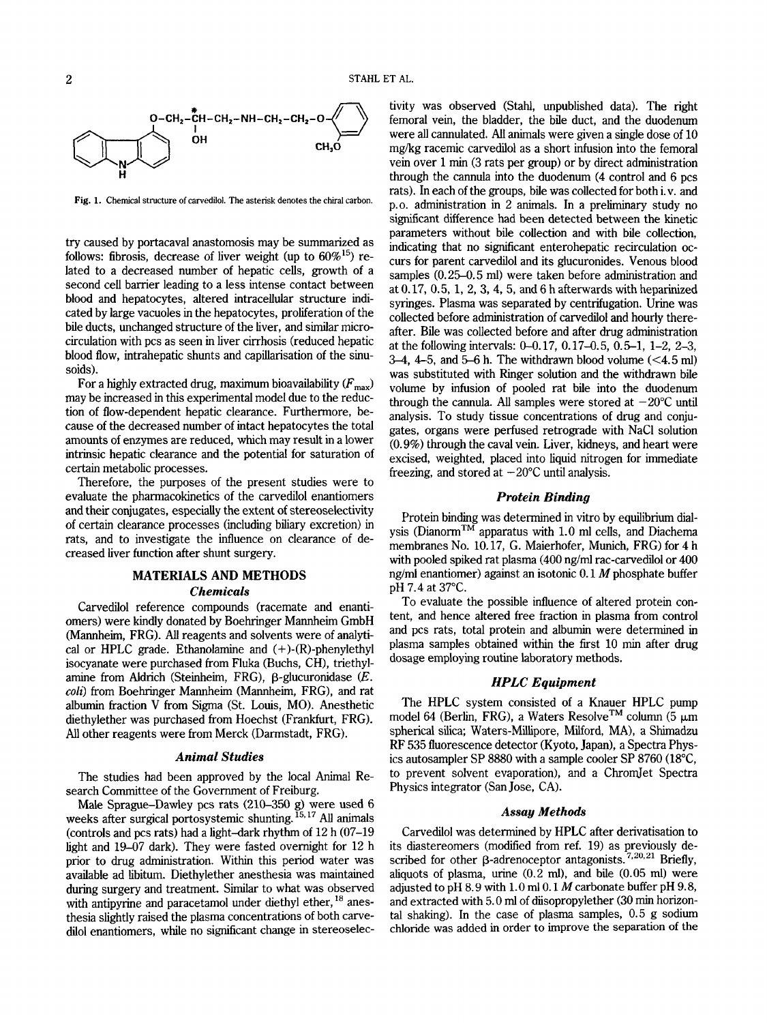

Fig. **1.** Chemical structure of carvedilol. The asterisk denotes the chiral carbon.

try caused by portacaval anastomosis may be summarized as follows: fibrosis, decrease of liver weight (up to  $60\%^{15}$ ) related to a decreased number of hepatic cells, growth of a second cell barrier leading to a less intense contact between blood and hepatocytes, altered intracellular structure indicated by large vacuoles in the hepatocytes, prolieration of the bile ducts, unchanged structure of the liver, and similar microcirculation with pcs as seen in liver cirrhosis (reduced hepatic blood flow, intrahepatic shunts and capillarisation of the sinusoids).

For a highly extracted drug, maximum bioavailability  $(F_{\text{max}})$ may be increased in this experimental model due to the reduction of flow-dependent hepatic clearance. Furthermore, because of the decreased number of intact hepatocytes the total amounts of enzymes are reduced, which may result in a lower intrinsic hepatic clearance and the potential for saturation of certain metabolic processes.

Therefore, the purposes of the present studies were to evaluate the pharmacokinetics of the carvedilol enantiomers and their conjugates, especially the extent of stereoselectivity of certain clearance processes (including biliary excretion) in rats, and to investigate the influence on clearance of decreased liver function after shunt surgery.

# **MATERIALS AND METHODS**  *Chemicals*

Carvedilol reference compounds (racemate and enantiomers) were kindly donated by Boehringer Mannheim GmbH (Mannheim, FRG). All reagents and solvents were of analytical or HPLC grade. Ethanolamine and  $(+)$ - $(R)$ -phenylethyl isocyanate were purchased from Fluka (Buchs, CH), triethylamine from Aldrich (Steinheim, FRG), p-glucuronidase *(E. coli*) from Boehringer Mannheim (Mannheim, FRG), and rat albumin fraction V from Sigma (St. Louis, MO). Anesthetic diethylether was purchased from Hoechst (Frankfurt, FRG). All other reagents were from Merck (Darmstadt, FRG).

## *Animal Studies*

The studies had been approved by the local Animal Research Committee of the Government of Freiburg.

Male Sprague-Dawley pcs rats (210-350 g) were used 6 weeks after surgical portosystemic shunting. **15,17** *All* animals (controls and pcs rats) had a light-dark rhythm of **12** h (07-19 light and 19-07 dark). They were fasted overnight for 12 h prior to drug administration. Within this period water was available ad libitum. Diethylether anesthesia was maintained during surgery and treatment. Similar to what was observed with antipyrine and paracetamol under diethyl ether, <sup>18</sup> anesthesia slightly raised the plasma concentrations of both carvedilol enantiomers, while no significant change in stereoselectivity was observed (Stahl, unpublished data). The right femoral vein, the bladder, the bile duct, and the duodenum were all cannulated. All animals were given a single dose of **10**  mgkg racemic carvedilol as a short infusion into the femoral vein over 1 min (3 rats per group) or by direct administration through the cannula into the duodenum **(4** control and 6 pcs rats). In each of the groups, bile was collected for both i.v. and p.0. administration in **2** animals. In a preliminary study no significant difference had been detected between the kinetic parameters without bile collection and with bile collection, indicating that no significant enterohepatic recirculation occurs for parent carvedilol and its glucuronides. Venous blood samples (0.25-0.5 ml) were taken before administration and at  $0.17, 0.5, 1, 2, 3, 4, 5$ , and  $6 h$  afterwards with heparinized syringes. Plasma was separated by centrifugation. Urine was collected before administration of carvedilol and hourly thereafter. Bile was collected before and after drug administration at the following intervals: 0-0.17, 0.17-0.5, 0.5-1, 1-2, 2-3, *34,* 4-5, and *5-6* h. The withdrawn blood volume (<4.5 ml) was substituted with Ringer solution and the withdrawn bile volume by infusion of pooled rat bile into the duodenum through the cannula. All samples were stored at  $-20^{\circ}$ C until analysis. To study tissue concentrations of drug and conjugates, organs were perfused retrograde with NaCl solution (0.9%) through the caval vein. Liver, kidneys, and heart were excised, weighted, placed into liquid nitrogen for immediate freezing, and stored at  $-20^{\circ}$ C until analysis.

## *Protein Binding*

Protein binding was determined in vitro by equilibrium dialysis (Dianorm<sup>TM</sup> apparatus with 1.0 ml cells, and Diachema membranes No. 10.17, G. Maierhofer, Munich, FRG) for **4** h with pooled spiked rat plasma (400 ng/ml rac-carvedilol or 400 ng/ml enantiomer) against an isotonic 0.1 *M* phosphate buffer pH 7.4 at **37°C.** 

To evaluate the possible influence of altered protein content, and hence altered free fraction in plasma from control and pcs rats, total protein and albumin were determined in plasma samples obtained within the first 10 **min** after drug dosage employing routine laboratory methods.

## *HPLC Equipment*

The HPLC system consisted of a Knauer HPLC pump model 64 (Berlin, FRG), a Waters Resolve<sup>TM</sup> column (5  $\mu$ m spherical silica; Waters-Millipore, Milford, MA), a Shimadzu RF 535 fluorescence detector (Kyoto, Japan), a Spectra Physics autosampler SP 8880 with a sample cooler SP 8760 (18"C, to prevent solvent evaporation), and a ChromJet Spectra Physics integrator (San Jose, CA).

#### *Assay Methods*

Carvedilol was determined by HPLC after derivatisation to its diastereomers (modified from ref. 19) as previously described for other  $\beta$ -adrenoceptor antagonists.<sup>7,20,21</sup> Briefly, aliquots of plasma, urine (0.2 **ml),** and bile (0.05 ml) were adjusted to pH  $8.9$  with 1.0 ml 0.1 M carbonate buffer pH 9.8, and extracted with 5.0 ml of disopropylether **(30** min horizontal shaking). In the case of plasma samples, 0.5 g sodium chloride was added in order to improve the separation of the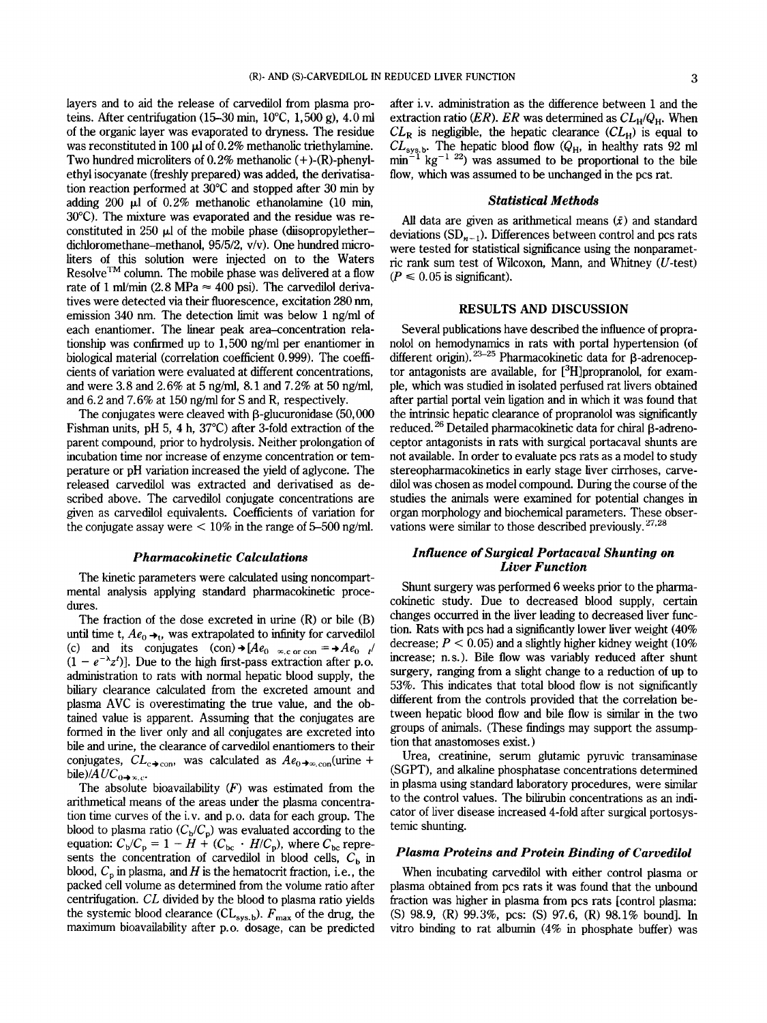layers and to aid the release of carvedilol from plasma proteins. After centrifugation (15-30 **min,** 1O"C, 1,500 g), 4.0 ml of the organic layer was evaporated to dryness. The residue was reconstituted in 100  $\mu$ l of 0.2% methanolic triethylamine. Two hundred microliters of  $0.2\%$  methanolic  $(+)$ - $(R)$ -phenylethyl isocyanate (freshly prepared) was added, the derivatisation reaction performed at 30°C and stopped after 30 min by adding 200  $\mu$ l of 0.2% methanolic ethanolamine (10 min, 30°C). The mixture was evaporated and the residue was reconstituted in 250  $\mu$ l of the mobile phase (diisopropyletherdichloromethane-methanol, 95/5/2, v/v). One hundred microliters of this solution were injected on to the Waters Resolve<sup>TM</sup> column. The mobile phase was delivered at a flow rate of 1 ml/min  $(2.8 \text{ MPa} \approx 400 \text{ psi})$ . The carvedilol derivatives were detected via their fluorescence, excitation 280 nm, emission 340 nm. The detection limit was below 1 ng/ml of each enantiomer. The linear peak area-concentration relationship was confirmed up to  $1,500$  ng/ml per enantiomer in biological material (correlation coefficient 0.999). The coefficients of variation were evaluated at different concentrations, and were 3.8 and 2.6% at 5 ng/ml, 8.1 and 7.2% at 50 ng/ml, and  $6.2$  and  $7.6\%$  at 150 ng/ml for S and R, respectively.

The conjugates were cleaved with  $\beta$ -glucuronidase (50,000) Fishman units, pH 5, 4 h, 37°C) after 3-fold extraction of the parent compound, prior to hydrolysis. Neither prolongation of incubation time nor increase of enzyme concentration or temperature or pH variation increased the yield of aglycone. The released carvedilol was extracted and derivatised as described above. The carvedilol conjugate concentrations are given as carvedilol equivalents. Coefficients of variation for the conjugate assay were  $< 10\%$  in the range of 5-500 ng/ml.

## *Pharmacokinetic Calculations*

The kinetic parameters were calculated using noncompartmental analysis applying standard pharmacokinetic procedures.

The fraction of the dose excreted in urine (R) or bile (B) until time t,  $Ae_0 \rightarrow_t$ , was extrapolated to infinity for carvedilol (c) and its conjugates  $(\text{con}) \rightarrow [Ae_{0} \times \text{Cor} \text{con}] = \rightarrow Ae_{0}$  $(1 - e^{-\lambda}z^t)$ ]. Due to the high first-pass extraction after p.o. administration to rats with normal hepatic blood supply, the biliary clearance calculated from the excreted amount and plasma AVC is overestimating the true value, and the obtained value is apparent. Assuming that the conjugates are formed in the liver only and all conjugates are excreted into bile and urine, the clearance of carvedilol enantiomers to their conjugates,  $CL_{c\rightarrow con}$ , was calculated as  $Ae_{0\rightarrow\infty,con}$  (urine + bile)/ $AUC_{0 \rightarrow \infty, c}$ .

The absolute bioavailability *(F)* was estimated from the arithmetical means of the areas under the plasma concentration time curves of the i.v. and p.0. data for each group. The blood to plasma ratio  $(C_b/C_p)$  was evaluated according to the blood to plasma ratio  $(C_b/C_p)$  was evaluated according to the equation:  $C_b/C_p = 1 - H + (C_{bc} \cdot H/C_p)$ , where  $C_{bc}$  represents the concentration of carvedilol in blood cells,  $C<sub>b</sub>$  in blood,  $C_p$  in plasma, and  $H$  is the hematocrit fraction, i.e., the packed cell volume as determined from the volume ratio after centrifugation. *CL* divided by the blood to plasma ratio yields the systemic blood clearance  $CL_{sys.b}$ .  $F_{max}$  of the drug, the maximum bioavailability after p.0. dosage, can be predicted

after i.v. administration as the difference between 1 and the extraction ratio *(ER). ER* was determined as  $CL_H/Q_H$ . When  $CL_R$  is negligible, the hepatic clearance  $CL_H$ ) is equal to  $CL_{\text{sys},b}$ . The hepatic blood flow  $(Q_H, h)$  in healthy rats 92 ml  $\min^{-1}$  kg<sup>-1 22</sup>) was assumed to be proportional to the bile flow, which was assumed to be unchanged in the pcs rat.

#### *Statistical Methods*

All data are given as arithmetical means  $(\bar{x})$  and standard deviations  $(SD_{n-1})$ . Differences between control and pcs rats were tested for statistical sigmficance using the nonparametric rank sum test of Wilcoxon, Mann, and Whitney (U-test)  $(P \leq 0.05$  is significant).

#### **RESULTS AND DISCUSSION**

Several publications have described the influence of propranolol on hemodynamics in rats with portal hypertension (of different origin).<sup>23-25</sup> Pharmacokinetic data for β-adrenoceptor antagonists are available, for  $[3H]$ propranolol, for example, which was studied in isolated perfused rat livers obtained after partial portal vein ligation and in which it was found that the intrinsic hepatic clearance of propranolol was sigmficantly reduced.<sup>26</sup> Detailed pharmacokinetic data for chiral  $\beta$ -adrenoceptor antagonists in rats with surgical portacaval shunts are not available. In order to evaluate pcs rats as a model to study stereopharmacokinetics in early stage liver cirrhoses, carvedilol was chosen as model compound. During the course of the studies the animals were examined for potential changes in organ morphology and biochemical parameters. These observations were similar to those described previously. *27,28* 

## *Influence of Surgical Portacaval Shunting on Liver Function*

Shunt surgery was performed 6 weeks prior to the pharmacokinetic study. Due to decreased blood supply, certain changes occurred in the liver leadmg to decreased liver function. Rats with pcs had a sigmficantly lower liver weight (40% decrease;  $P < 0.05$ ) and a slightly higher kidney weight (10%) increase; n.s.). Bile flow was variably reduced after shunt surgery, ranging from a slight change to a reduction of up to 53%. This indicates that total blood flow is not significantly different from the controls provided that the correlation between hepatic blood flow and bile flow is similar in the two groups of animals. (These findings may support the assumption that anastomoses exist. )

Urea, creatinine, serum glutamic pyruvic transaminase (SGPT), and alkaline phosphatase concentrations determined in plasma using standard laboratory procedures, were similar to the control values. The bilirubin concentrations as an indicator of liver disease increased 4-fold after surgical portosystemic shunting.

## *Plasma Proteins and Protein Binding of Carvedilol*

When incubating carvedilol with either control plasma or plasma obtained from pcs rats it was found that the unbound fraction was higher in plasma from pcs rats [control plasma: (S) 98.9, (R) 99.3%, pcs: (S) 97.6, (R) 98.1% bound]. In vitro binding to rat albumin **(4%** in phosphate buffer) was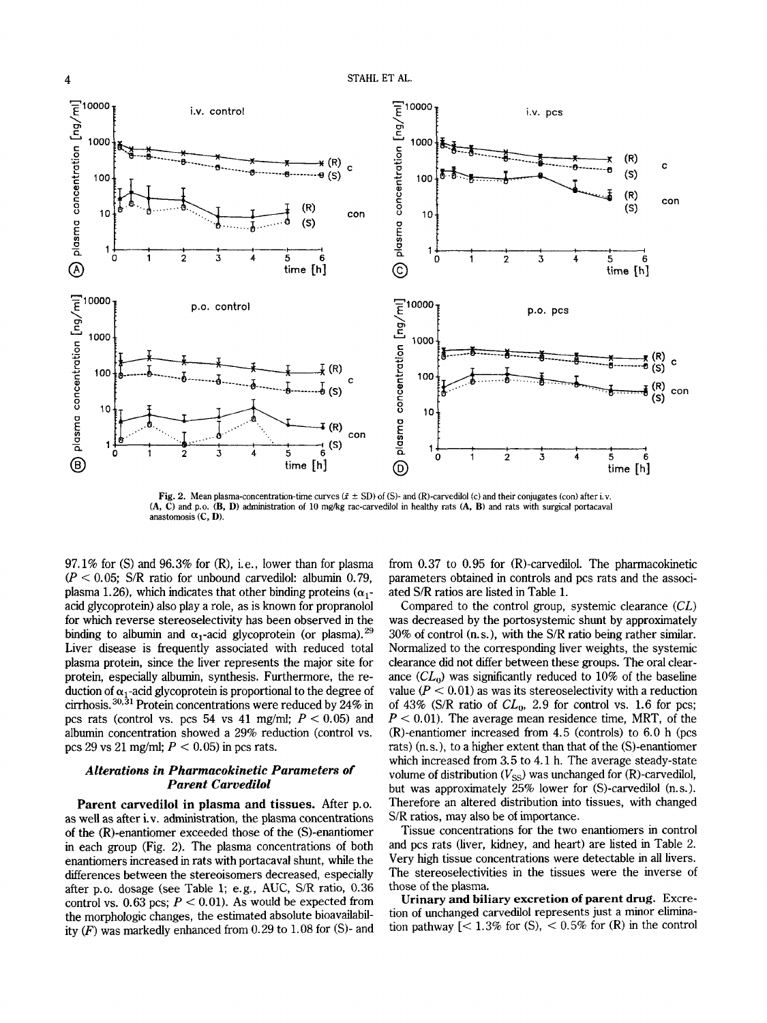

**Fig. 2.** Mean plasma-concentration-time curves  $(\bar{x} \pm SD)$  of (S)- and (R)-carvedilol (c) and their conjugates (con) after i.v. **(A, C)** and p.0. **(B, D)** administration of **10** mgkg rac-carvedilol in healthy rats **(A, B)** and rats with surgical portacaval anastomosis **(C, D).** 

97.1% for (S) and 96.3% for (R), i.e., lower than for plasma  $(P < 0.05$ ; S/R ratio for unbound carvedilol: albumin 0.79, plasma 1.26), which indicates that other binding proteins  $(\alpha_1$ acid glycoprotein) also play a role, as is known for propranolol for which reverse stereoselectivity has been observed in the binding to albumin and  $\alpha_1$ -acid glycoprotein (or plasma).<sup>29</sup> Liver disease is frequently associated with reduced total plasma protein, since the liver represents the major site for protein, especially albumin, synthesis. Furthermore, the reduction of  $\alpha_1$ -acid glycoprotein is proportional to the degree of cirrhosis.<sup>30,31</sup> Protein concentrations were reduced by 24% in pcs rats (control vs. pcs 54 vs 41 mg/ml;  $P < 0.05$ ) and albumin concentration showed a 29% reduction (control vs. pcs 29 vs 21 mg/ml;  $P < 0.05$ ) in pcs rats.

## *Alterations in Pharmacokinetic Parameters of Parent Carvedilol*

**Parent carvedilol in plasma and tissues.** After p.0. as well as after i.v. administration, the plasma concentrations of the (R)-enantiomer exceeded those of the (S)-enantiomer in each group (Fig. **2).** The plasma concentrations of both enantiomers increased in rats with portacaval shunt, while the differences between the stereoisomers decreased, especially after p.0. dosage (see Table 1; e.g., AUC, S/R ratio, 0.36 control vs.  $0.63$  pcs;  $P < 0.01$ ). As would be expected from the morphologic changes, the estimated absolute bioavailability *(F)* was markedly enhanced from 0.29 to 1.08 for **6)-** and

from 0.37 to 0.95 for (R)-carvedilol. The pharmacokinetic parameters obtained in controls and pcs rats and the associated S/R ratios are listed in Table **1.** 

Compared to the control group, systemic clearance *(CL)*  was decreased by the portosystemic shunt by approximately  $30\%$  of control (n.s.), with the S/R ratio being rather similar. Normalized to the corresponding liver weights, the systemic clearance did not differ between these groups. The oral clearance  $CL<sub>0</sub>$ ) was significantly reduced to 10% of the baseline value  $(P < 0.01)$  as was its stereoselectivity with a reduction of 43% (S/R ratio of  $CL_0$ , 2.9 for control vs. 1.6 for pcs;  $P < 0.01$ ). The average mean residence time, MRT, of the (R)-enantiomer increased from 4.5 (controls) to 6.0 h (pcs rats) (n. s.), to a higher extent than that of the (S)-enantiomer which increased from 3.5 to 4.1 h. The average steady-state volume of distribution  $(V_{SS})$  was unchanged for  $(R)$ -carvedilol, but was approximately 25% lower for (S)-carvedilol (n.s.). Therefore an altered distribution into tissues, with changed S/R ratios, may also be of importance.

Tissue concentrations for the two enantiomers in control and pcs rats (liver, kidney, and heart) are listed in Table 2. Very high tissue concentrations were detectable in all livers. The stereoselectivities in the tissues were the inverse of those of the plasma.

**Urinary and biliary excretion of parent drug.** Excretion of unchanged carvedilol represents just a minor elimination pathway  $\left[$  < 1.3% for (S), < 0.5% for (R) in the control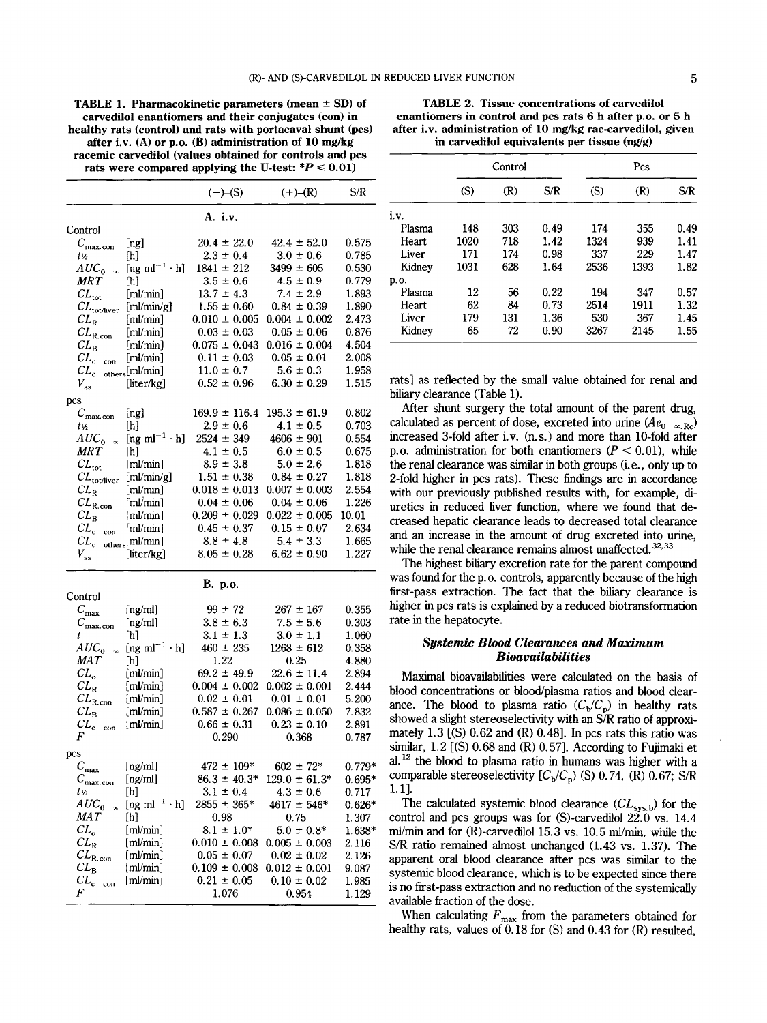**TABLE 1. Pharmacokinetic parameters (mean**  $\pm$  **SD) of carvedilol enantiomers and their conjugates (con) in healthy rats (control) and rats with portacaval shunt (pcs) after i.v. (A) or p.0. (B) administration of 10 mgkg racemic carvedilol (values obtained for controls and pcs**  rats were compared applying the U-test:  $*P \le 0.01$ )

|                                                                                                                                                                                                                              | $(-)$ -(S)                       | $(+)$ – $(R)$                    | S/R               |
|------------------------------------------------------------------------------------------------------------------------------------------------------------------------------------------------------------------------------|----------------------------------|----------------------------------|-------------------|
|                                                                                                                                                                                                                              | A. <i>i.v.</i>                   |                                  |                   |
| Control                                                                                                                                                                                                                      |                                  |                                  |                   |
| $C_{\text{max.com}}$<br>[ng]                                                                                                                                                                                                 | $20.4 \pm 22.0$                  | $42.4 \pm 52.0$                  | 0.575             |
| ſh]<br>t 1s                                                                                                                                                                                                                  | $2.3 \pm 0.4$                    | $3.0 \pm 0.6$                    | 0.785             |
| [ng m $l^{-1} \cdot h$ ]<br>$AUC_{0-x}$                                                                                                                                                                                      | $1841 \pm 212$                   | $3499 \pm 605$                   | 0.530             |
| MR T<br>[h]                                                                                                                                                                                                                  | $3.5 \pm 0.6$                    | $4.5 \pm 0.9$                    | 0.779             |
| $CL_{\rm tot}$<br>[ml/min]                                                                                                                                                                                                   | $13.7 \pm 4.3$                   | $7.4 \pm 2.9$                    | 1.893             |
| $CL_{\text{tot/live}}$ [ml/min/g]                                                                                                                                                                                            | $1.55 \pm 0.60$                  | $0.84 \pm 0.39$                  | 1.890             |
| $CL_{R}$<br>[m]                                                                                                                                                                                                              | $0.010 \pm 0.005$                | $0.004 \pm 0.002$                | 2.473             |
| $CL_{R.com}$<br>[ml/min]                                                                                                                                                                                                     | $0.03 \pm 0.03$                  | $0.05 \pm 0.06$                  | 0.876             |
| [ml/min]<br>$CL_{B}$                                                                                                                                                                                                         | $0.075 \pm 0.043$                | $0.016 \pm 0.004$                | 4.504             |
| [ml/min]<br>$CL_{ccon}$                                                                                                                                                                                                      | $0.11 \pm 0.03$                  | $0.05 \pm 0.01$                  | 2.008             |
| $CL_{c \text{ others}}[ml/min]$                                                                                                                                                                                              | $11.0 \pm 0.7$                   | $5.6 \pm 0.3$                    | 1.958             |
| $V_{\rm ss}$<br>[liter/kg]                                                                                                                                                                                                   | $0.52 \pm 0.96$                  | $6.30 \pm 0.29$                  | 1.515             |
| pcs                                                                                                                                                                                                                          |                                  |                                  |                   |
| [ng]<br>$C_{\text{max.com}}$                                                                                                                                                                                                 | $169.9 \pm 116.4$                | $195.3 \pm 61.9$                 | 0.802             |
| ſh]<br>t v2                                                                                                                                                                                                                  | $2.9 \pm 0.6$                    | $4.1 \pm 0.5$                    | 0.703             |
| $AUC_0$ <sub>x</sub><br>$[ng \text{ ml}^{-1} \cdot h]$                                                                                                                                                                       | $2524 \pm 349$                   | $4606 \pm 901$                   | 0.554             |
| <b>MRT</b><br>[h]                                                                                                                                                                                                            | $4.1 \pm 0.5$                    | $6.0 \pm 0.5$                    | 0.675             |
| $CL_{\text{tot}}$<br>[ml/min]                                                                                                                                                                                                | $8.9 \pm 3.8$                    | $5.0 \pm 2.6$                    | 1.818             |
| $CL_{\text{tot/liver}}$ [ml/min/g]                                                                                                                                                                                           | $1.51 \pm 0.38$                  | $0.84 \pm 0.27$                  | 1.818             |
| [ml/min]<br>$CL_{R}$                                                                                                                                                                                                         | $0.018 \pm 0.013$                | $0.007 \pm 0.003$                | 2.554             |
| [ml/min]<br>$CL_{R.com}$                                                                                                                                                                                                     | $0.04 \pm 0.06$                  | $0.04 \pm 0.06$                  | 1.226             |
| [ml/min]<br>$CL_{\rm B}$                                                                                                                                                                                                     | $0.209 \pm 0.029$                | $0.022 \pm 0.005$                | 10.01             |
| $CL_{ccon}$<br>[ml/min]                                                                                                                                                                                                      | $0.45 \pm 0.37$                  | $0.15 \pm 0.07$                  | 2.634             |
| $CL_{c \text{ others}}[ml/min]$                                                                                                                                                                                              | $8.8 \pm 4.8$                    | $5.4 \pm 3.3$                    | 1.665             |
| $V_{\rm ss}$<br>[liter/kg]                                                                                                                                                                                                   | $8.05 \pm 0.28$                  | $6.62 \pm 0.90$                  | 1.227             |
|                                                                                                                                                                                                                              | B. p.o.                          |                                  |                   |
| Control                                                                                                                                                                                                                      |                                  |                                  |                   |
| $C_{\max}$<br>[ng/ml]                                                                                                                                                                                                        | $99 \pm 72$                      | $267 \pm 167$                    | 0.355             |
| [ng/ml]<br>$C_{\text{max.com}}$                                                                                                                                                                                              | $3.8 \pm 6.3$                    | $7.5 \pm 5.6$                    | 0.303             |
| [h]<br>t<br>[ng m $l^{-1} \cdot h$ ]                                                                                                                                                                                         | $3.1 \pm 1.3$<br>$460 \pm 235$   | $3.0 \pm 1.1$<br>$1268 \pm 612$  | 1.060             |
| $AUC_0$<br>$\infty$<br>MAT                                                                                                                                                                                                   | 1.22                             | 0.25                             | 0.358<br>4.880    |
| $[h] \centering \includegraphics[width=0.47\textwidth]{Figures/PD1.png} \caption{The 3D (black) model for the 3D (black) model. The 3D (black) model is shown in Fig.~\ref{fig:10}.} \label{fig:11}$<br>$CL_{o}$<br>[ml/min] | $69.2 \pm 49.9$                  | $22.6 \pm 11.4$                  | 2.894             |
| [ml/min]<br>$CL_{\rm R}$                                                                                                                                                                                                     | $0.004 \pm 0.002$                | $0.002 \pm 0.001$                | 2.444             |
| $CL_{\rm R. con}$<br>[ml/min]                                                                                                                                                                                                | $0.02 \pm 0.01$                  | $0.01 \pm 0.01$                  | 5.200             |
| $CL_{\rm B}$<br>[ml/min]                                                                                                                                                                                                     | $0.587 \pm 0.267$                | $0.086 \pm 0.050$                | 7.832             |
| $CL_{ccon}$<br>[ml/min]                                                                                                                                                                                                      | $0.66 \pm 0.31$                  | $0.23 \pm 0.10$                  | 2.891             |
| F                                                                                                                                                                                                                            | 0.290                            | 0.368                            | 0.787             |
|                                                                                                                                                                                                                              |                                  |                                  |                   |
| pcs                                                                                                                                                                                                                          |                                  |                                  |                   |
| [ng/ml]<br>$C_{\text{max}}$                                                                                                                                                                                                  | $472 \pm 109*$                   | $602 \pm 72*$                    | $0.779*$          |
| [ng/ml]<br>$C_{\text{max.com}}$                                                                                                                                                                                              | $86.3 \pm 40.3*$                 | $129.0 \pm 61.3^*$               | $0.695*$          |
| t ½<br>[h]<br>$AUC_0$<br>$[ng \; ml^{-1} \cdot h]$                                                                                                                                                                           | $3.1 \pm 0.4$<br>$2855 \pm 365*$ | $4.3 \pm 0.6$<br>$4617 \pm 546*$ | 0.717<br>$0.626*$ |
| $\infty$<br>MAT<br>[h]                                                                                                                                                                                                       | 0.98                             | 0.75                             |                   |
| $CL_o$<br>[ml/min]                                                                                                                                                                                                           | $8.1 \pm 1.0^*$                  | $5.0 \pm 0.8^*$                  | 1.307<br>$1.638*$ |
| $CL_{R}$<br>[ml/min]                                                                                                                                                                                                         | $0.010 \pm 0.008$                | $0.005 \pm 0.003$                | 2.116             |
| $CL_{\rm R. con}$<br>[ml/min]                                                                                                                                                                                                | $0.05 \pm 0.07$                  | $0.02 \pm 0.02$                  | 2.126             |
| $CL_{B}$<br>[ml/min]                                                                                                                                                                                                         | $0.109 \pm 0.008$                | $0.012 \pm 0.001$                | 9.087             |
| $CL_{c}$<br>[ml/min]<br>con                                                                                                                                                                                                  | $0.21 \pm 0.05$                  | $0.10 \pm 0.02$                  | 1.985             |
| F                                                                                                                                                                                                                            | 1.076                            | 0.954                            | 1.129             |

**TABLE 2. Tissue concentrations of carvedilol enantiomers in control and pcs rats 6 h after p.0. or 5 h after i.v. administration of 10 mgkg rac-carvedilol, given in carvedilol equivalents per tissue (ng/g)** 

|        | Control |     |      |      |      |      |
|--------|---------|-----|------|------|------|------|
|        | (S)     | (R) | S/R  | (S)  | (R)  | S/R  |
| i.v.   |         |     |      |      |      |      |
| Plasma | 148     | 303 | 0.49 | 174  | 355  | 0.49 |
| Heart  | 1020    | 718 | 1.42 | 1324 | 939  | 1.41 |
| Liver  | 171     | 174 | 0.98 | 337  | 229  | 1.47 |
| Kidney | 1031    | 628 | 1.64 | 2536 | 1393 | 1.82 |
| p.o.   |         |     |      |      |      |      |
| Plasma | 12      | 56  | 0.22 | 194  | 347  | 0.57 |
| Heart  | 62      | 84  | 0.73 | 2514 | 1911 | 1.32 |
| Liver  | 179     | 131 | 1.36 | 530  | 367  | 1.45 |
| Kidney | 65      | 72  | 0.90 | 3267 | 2145 | 1.55 |

rats] as reflected by the small value obtained for renal and biliary clearance (Table 1).

After shunt surgery the total amount of the parent drug, calculated as percent of dose, excreted into urine  $(Ae_0 \circ_R Rc)$ increased 3-fold after i.v. (n.s.) and more than 10-fold after p.o. administration for both enantiomers  $(P < 0.01)$ , while the renal clearance was **similar** in both groups (i. *e.,* only up to 2-fold higher in pcs rats). These findmgs are in accordance with our previously published results with, for example, diuretics in reduced liver function, where we found that decreased hepatic clearance leads to decreased total clearance and an increase in the amount of drug excreted into urine, while the renal clearance remains almost unaffected.<sup>32,33</sup>

The highest biliary excretion rate for the parent compound was found for the p.o. controls, apparently because of the high first-pass extraction. The fact that the biliary clearance is higher in pcs rats is explained by a reduced biotransformation rate in the hepatocyte.

## *Systemic Blood Clearances and Maximum Bioavaila bilities*

Maximal bioavailabilities were calculated on the basis of blood concentrations or blood/plasma ratios and blood clearance. The blood to plasma ratio  $(C_b/C_p)$  in healthy rats showed a slight stereoselectivity with an *SIR* ratio of approximately 1.3  $[(S)$  0.62 and  $(R)$  0.48]. In pcs rats this ratio was **similar,** 1.2 *[(S)* 0.68 and (R) 0.571. According to Fujimaki et  $al.$ <sup>12</sup> the blood to plasma ratio in humans was higher with a comparable stereoselectivity  $[C_b/C_p)$  (S) 0.74, (R) 0.67; S/R 1.13.

The calculated systemic blood clearance *(CL<sub>sys,b</sub>)* for the control and pcs groups was for (S)-carvediiol 22.0 vs. 14.4 ml/min and for  $(R)$ -carvedilol 15.3 vs. 10.5 ml/min, while the S/R ratio remained almost unchanged (1.43 vs. 1.37). The apparent oral blood clearance after pcs was similar to the systemic blood clearance, which is to be expected since there is no first-pass extraction and no reduction of the systemically available fraction of the dose.

When calculating  $F_{\text{max}}$  from the parameters obtained for healthy rats, values of 0.18 for *(S)* and 0.43 for (R) resulted,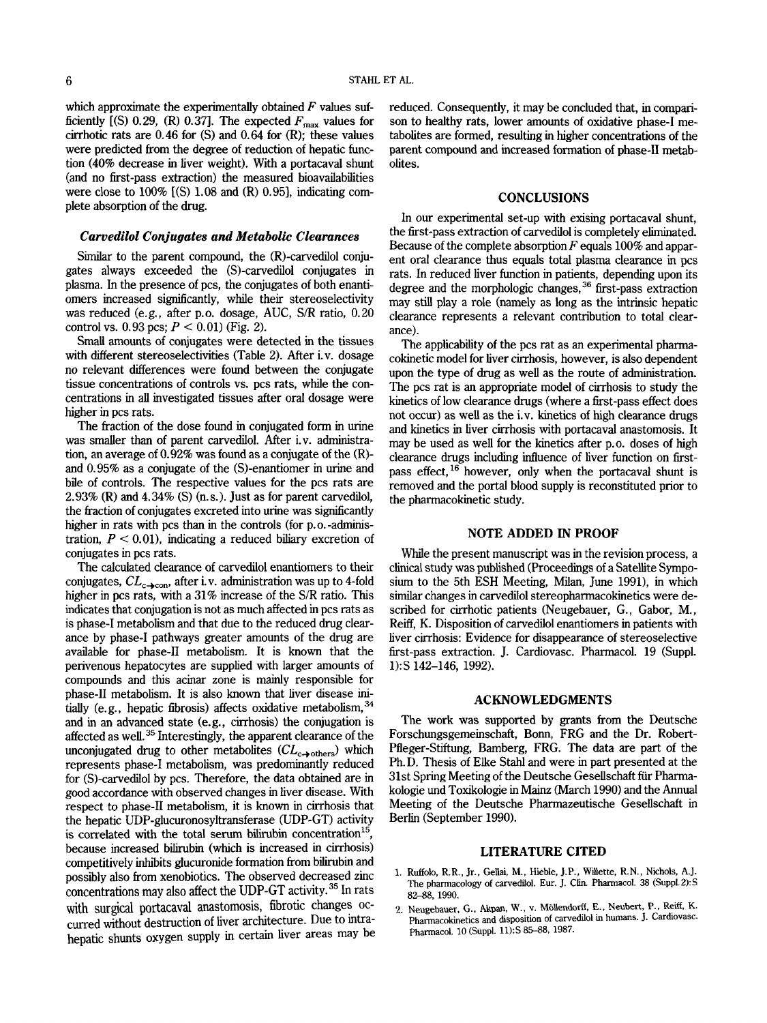which approximate the experimentally obtained *F* values sufficiently  $[(S) 0.29, (R) 0.37]$ . The expected  $F_{\text{max}}$  values for cirrhotic rats are **0.46** for (S) and 0.64 for (R); these values were predicted from the degree of reduction of hepatic function (40% decrease in liver weight). With a portacaval shunt (and no first-pass extraction) the measured bioavailabilities were close to  $100\%$  [(S) 1.08 and (R) 0.95], indicating complete absorption of the drug.

#### *Carvedilol Conjugates and Metabolic Clearances*

Similar to the parent compound, the (R)-carvedilol conjugates always exceeded the (S)-carvedilol conjugates in plasma. In the presence of pcs, the conjugates of both enantiomers increased significantly, while their stereoselectivity was reduced (e.g., after p.0. dosage, AUC, S/R ratio, 0.20 control vs.  $0.93 \text{ pcs}$ ;  $P < 0.01$ ) (Fig. 2).

Small amounts of conjugates were detected in the tissues with different stereoselectivities (Table 2). After i.v. dosage no relevant differences were found between the conjugate tissue concentrations of controls vs. pcs rats, while the concentrations in all investigated tissues after oral dosage were higher in pcs rats.

The fraction of the dose found in conjugated form in urine was smaller than of parent carvedilol. After i.v. administration, an average of 0.92% was found as a conjugate of the (R) and 0.95% as a conjugate of the (S)-enantiomer in urine and bile of controls. The respective values for the pcs rats are 2.93% **(R)** and 4.34% (S) (n.s.). Just as for parent carvedilol, the fraction of conjugates excreted into urine was sigmficantly higher in rats with pcs than in the controls (for p.o.-administration,  $P < 0.01$ ), indicating a reduced biliary excretion of conjugates in pcs rats.

The calculated clearance of carvedilol enantiomers to their conjugates,  $CL_{c\rightarrow con}$ , after i.v. administration was up to 4-fold higher in pcs rats, with a **31%** increase of the S/R ratio. This indicates that conjugation is not as much affected in pcs rats as is phase-I metabolism and that due to the reduced drug clearance by phase-I pathways greater amounts of the drug are available for phase-I1 metabolism. It is known that the perivenous hepatocytes are supplied with larger amounts of compounds and this acinar zone is mainly responsible for phase-I1 metabolism. It is also known that liver disease initially (e.g., hepatic fibrosis) affects oxidative metabolism,  $^{34}$ and in **an** advanced state (e.g., cirrhosis) the conjugation is affected as well.<sup>35</sup> Interestingly, the apparent clearance of the unconjugated drug to other metabolites  $CL_{c\rightarrow others}$ ) which represents phase-I metabolism, was predominantly reduced for (S)-carvedilol by pcs. Therefore, the data obtained are in good accordance with observed changes in liver disease. With respect to phase-I1 metabolism, it is known in cirrhosis that the hepatic UDP-glucuronosyltransferase (UDP-GT) activity is correlated with the total serum bilirubin concentration $<sup>15</sup>$ </sup> because increased bilirubin (which is increased in cirrhosis) competitively inhibits glucuronide formation from bilirubin and possibly also from xenobiotics. The observed decreased zinc concentrations may also affect the UDP-GT activity. **35** In rats with surgical portacaval anastomosis, fibrotic changes occurred without destruction of liver architecture. Due to intrahepatic shunts oxygen supply h Certain liver areaS may **be**  reduced. Consequently, it may be concluded that, in comparison to healthy rats, lower amounts of oxidative phase-I metabolites are formed, resulting in higher concentrations of the parent compound and increased formation of phase-I1 metabolites.

#### **CONCLUSIONS**

In our experimental set-up with exising portacaval shunt, the first-pass extraction of carvedilol is completely eliminated. Because of the complete absorption *F* equals 100% and apparent oral clearance thus equals total plasma clearance in pcs rats. In reduced liver function in patients, depending upon its degree and the morphologic changes, *36* first-pass extraction may still play a role (namely as long as the intrinsic hepatic clearance represents a relevant contribution to total clearance).

The applicability of the pcs rat as an experimental pharmacokinetic model for liver cirrhosis, however, is also dependent upon the type of drug as well as the route of administration. The pcs rat is an appropriate model of cirrhosis to study the kinetics of low clearance drugs (where a first-pass effect does not occur) as well as the i.v. kinetics of high clearance drugs and kinetics in liver cirrhosis with portacaval anastomosis. It may be used **as** well for the kinetics after p.0. doses of high clearance drugs including influence of liver function on firstpass effect,  $16$  however, only when the portacaval shunt is removed and the portal blood supply is reconstituted prior to the pharmacokinetic study.

## **NOTE ADDED IN PROOF**

While the present manuscript was in the revision process, a clinical study was published (Proceedings of a Satellite Symposium to the 5th ESH Meeting, Milan, June 1991), in which similar changes in carvedilol stereopharmacokinetics were described for cirrhotic patients (Neugebauer, G., Gabor, M., Reiff, K. Disposition of carvedilol enantiomers in patients with liver cirrhosis: Evidence for disappearance of stereoselective first-pass extraction. J. Cardiovasc. Pharmacol. 19 (Suppl. 1):s 142-146, 1992).

## **ACKNOWLEDGMENTS**

The work was supported by grants from the Deutsche Forschungsgemeinschaft, Bonn, FRG and the Dr. Robert-Pfleger-Stiftung, Bamberg, FRG. The data are part of the Ph.D. Thesis of Elke Stahl and were in part presented at the **31st** Spring Meeting of the Deutsche Gesellschaft fir Pharmakologie und Toxikologie in Mainz (March 1990) and the Annual Meeting of the Deutsche Pharmazeutische Gesellschaft in Berlin (September 1990).

### **LITERATURE CITED**

- 1. Ruffolo, R.R., Jr., Gellai, M., Hieble, J.P., Willette, R.N., Nichols, A.J. The pharmacology of carvedilol. Eur. J. Clin. Pharmacol. 38 (Suppl.2): S 82-88.1990.
- 2. Neugebauer, G., Akpan, W., v. Möllendorff, E., Neubert, P., Reiff, K. Pharmacokinetics and disposition of carvedilol in humans. J. Cardiovasc. Pharmacol. 10 (Suppl. 11): S 85-88, 1987.